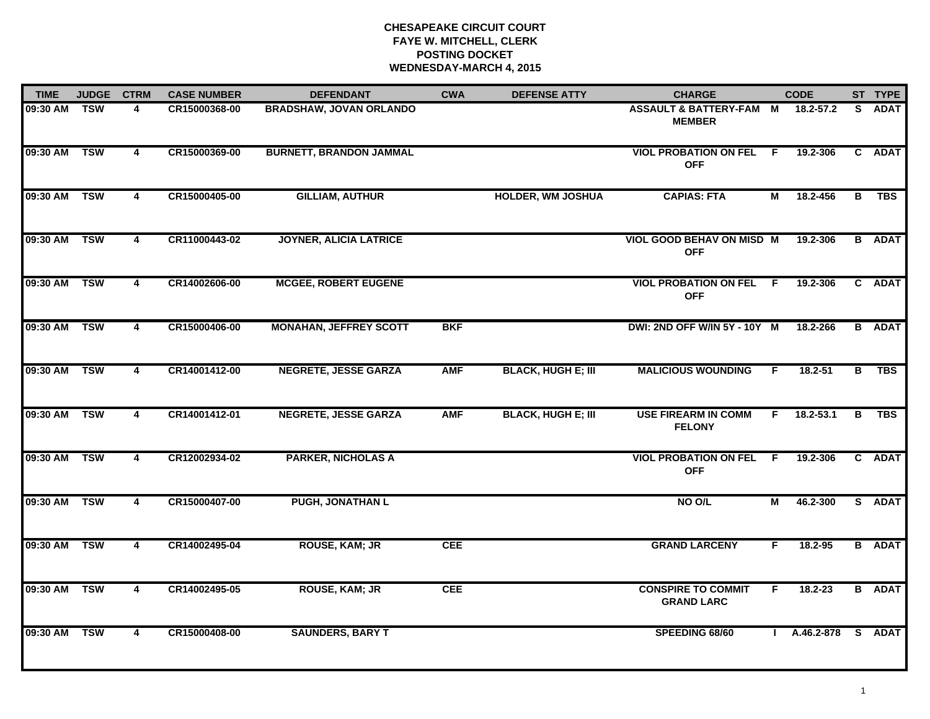# **CHESAPEAKE CIRCUIT COURT FAYE W. MITCHELL, CLERK POSTING DOCKET WEDNESDAY-MARCH 4, 2015**

| <b>TIME</b>  | <b>JUDGE</b> | <b>CTRM</b>    | <b>CASE NUMBER</b> | <b>DEFENDANT</b>               | <b>CWA</b> | <b>DEFENSE ATTY</b>       | <b>CHARGE</b>                                  |              | <b>CODE</b>   |    | ST TYPE       |
|--------------|--------------|----------------|--------------------|--------------------------------|------------|---------------------------|------------------------------------------------|--------------|---------------|----|---------------|
| 09:30 AM TSW |              | 4              | CR15000368-00      | <b>BRADSHAW, JOVAN ORLANDO</b> |            |                           | ASSAULT & BATTERY-FAM M<br><b>MEMBER</b>       |              | 18.2-57.2     | S. | <b>ADAT</b>   |
| 09:30 AM     | <b>TSW</b>   | $\overline{4}$ | CR15000369-00      | <b>BURNETT, BRANDON JAMMAL</b> |            |                           | <b>VIOL PROBATION ON FEL</b><br><b>OFF</b>     | F.           | 19.2-306      |    | C ADAT        |
| 09:30 AM     | TSW          | 4              | CR15000405-00      | <b>GILLIAM, AUTHUR</b>         |            | <b>HOLDER, WM JOSHUA</b>  | <b>CAPIAS: FTA</b>                             | м            | 18.2-456      | В  | TBS           |
| 09:30 AM     | <b>TSW</b>   | 4              | CR11000443-02      | <b>JOYNER, ALICIA LATRICE</b>  |            |                           | VIOL GOOD BEHAV ON MISD M<br><b>OFF</b>        |              | 19.2-306      |    | <b>B</b> ADAT |
| 09:30 AM     | <b>TSW</b>   | $\overline{4}$ | CR14002606-00      | <b>MCGEE, ROBERT EUGENE</b>    |            |                           | <b>VIOL PROBATION ON FEL F</b><br><b>OFF</b>   |              | 19.2-306      |    | C ADAT        |
| 09:30 AM TSW |              | 4              | CR15000406-00      | <b>MONAHAN, JEFFREY SCOTT</b>  | <b>BKF</b> |                           | DWI: 2ND OFF W/IN 5Y - 10Y M                   |              | 18.2-266      |    | <b>B</b> ADAT |
| 09:30 AM     | <b>TSW</b>   | $\overline{4}$ | CR14001412-00      | <b>NEGRETE, JESSE GARZA</b>    | <b>AMF</b> | <b>BLACK, HUGH E; III</b> | <b>MALICIOUS WOUNDING</b>                      | F.           | 18.2-51       | В  | <b>TBS</b>    |
| 09:30 AM     | <b>TSW</b>   | 4              | CR14001412-01      | <b>NEGRETE, JESSE GARZA</b>    | <b>AMF</b> | <b>BLACK, HUGH E; III</b> | <b>USE FIREARM IN COMM</b><br><b>FELONY</b>    | F.           | $18.2 - 53.1$ | В  | <b>TBS</b>    |
| 09:30 AM     | <b>TSW</b>   | 4              | CR12002934-02      | <b>PARKER, NICHOLAS A</b>      |            |                           | <b>VIOL PROBATION ON FEL</b><br><b>OFF</b>     | E            | 19.2-306      |    | C ADAT        |
| 09:30 AM     | <b>TSW</b>   | $\overline{4}$ | CR15000407-00      | <b>PUGH, JONATHAN L</b>        |            |                           | NO O/L                                         | М            | 46.2-300      |    | S ADAT        |
| 09:30 AM     | <b>TSW</b>   | 4              | CR14002495-04      | <b>ROUSE, KAM; JR</b>          | <b>CEE</b> |                           | <b>GRAND LARCENY</b>                           | F.           | 18.2-95       |    | <b>B</b> ADAT |
| 09:30 AM     | <b>TSW</b>   | $\overline{4}$ | CR14002495-05      | <b>ROUSE, KAM; JR</b>          | <b>CEE</b> |                           | <b>CONSPIRE TO COMMIT</b><br><b>GRAND LARC</b> | F.           | $18.2 - 23$   |    | <b>B</b> ADAT |
| 09:30 AM     | <b>TSW</b>   | 4              | CR15000408-00      | <b>SAUNDERS, BARY T</b>        |            |                           | SPEEDING 68/60                                 | $\mathbf{I}$ | A.46.2-878    |    | S ADAT        |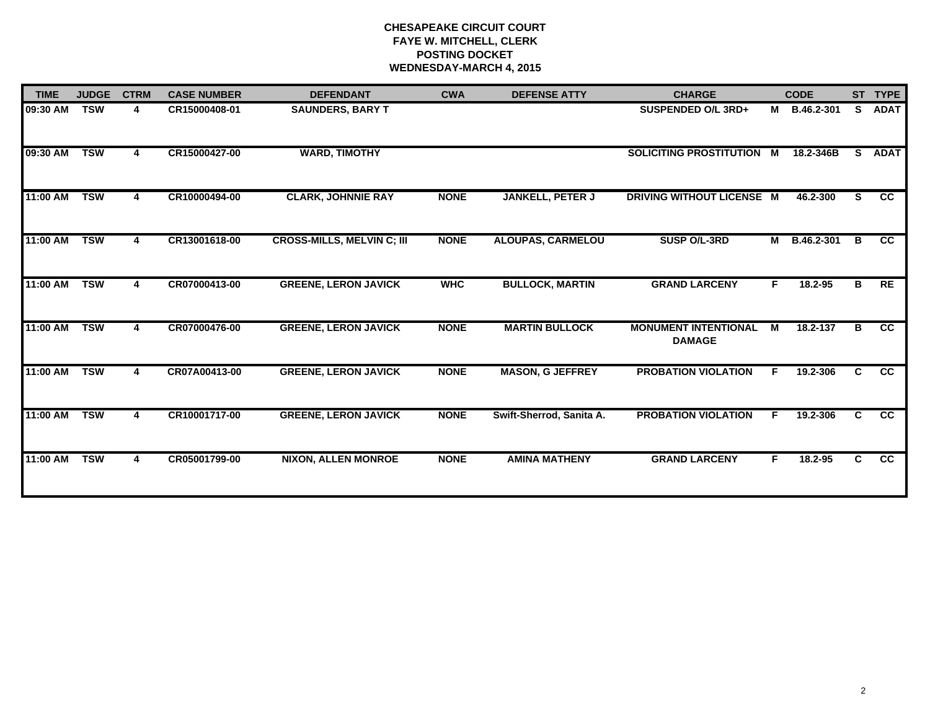# **CHESAPEAKE CIRCUIT COURT FAYE W. MITCHELL, CLERK POSTING DOCKET WEDNESDAY-MARCH 4, 2015**

| <b>TIME</b> | <b>JUDGE</b> | <b>CTRM</b> | <b>CASE NUMBER</b> | <b>DEFENDANT</b>                  | <b>CWA</b>  | <b>DEFENSE ATTY</b>      | <b>CHARGE</b>                                |                | <b>CODE</b> |                | ST TYPE         |
|-------------|--------------|-------------|--------------------|-----------------------------------|-------------|--------------------------|----------------------------------------------|----------------|-------------|----------------|-----------------|
| 09:30 AM    | <b>TSW</b>   | 4           | CR15000408-01      | <b>SAUNDERS, BARY T</b>           |             |                          | SUSPENDED O/L 3RD+                           | M              | B.46.2-301  | S.             | <b>ADAT</b>     |
| 09:30 AM    | <b>TSW</b>   | 4           | CR15000427-00      | <b>WARD, TIMOTHY</b>              |             |                          | <b>SOLICITING PROSTITUTION</b>               | M              | 18.2-346B   | $\overline{s}$ | <b>ADAT</b>     |
| 11:00 AM    | <b>TSW</b>   | 4           | CR10000494-00      | <b>CLARK, JOHNNIE RAY</b>         | <b>NONE</b> | <b>JANKELL, PETER J</b>  | DRIVING WITHOUT LICENSE M                    |                | 46.2-300    | S.             | $\overline{cc}$ |
| 11:00 AM    | <b>TSW</b>   | 4           | CR13001618-00      | <b>CROSS-MILLS, MELVIN C; III</b> | <b>NONE</b> | <b>ALOUPAS, CARMELOU</b> | <b>SUSP O/L-3RD</b>                          | M              | B.46.2-301  | B              | <b>CC</b>       |
| 11:00 AM    | <b>TSW</b>   | 4           | CR07000413-00      | <b>GREENE, LERON JAVICK</b>       | <b>WHC</b>  | <b>BULLOCK, MARTIN</b>   | <b>GRAND LARCENY</b>                         | F.             | $18.2 - 95$ | в              | RE              |
| 11:00 AM    | <b>TSW</b>   | 4           | CR07000476-00      | <b>GREENE, LERON JAVICK</b>       | <b>NONE</b> | <b>MARTIN BULLOCK</b>    | <b>MONUMENT INTENTIONAL</b><br><b>DAMAGE</b> | $\overline{M}$ | 18.2-137    | $\overline{B}$ | cc              |
| 11:00 AM    | <b>TSW</b>   | 4           | CR07A00413-00      | <b>GREENE, LERON JAVICK</b>       | <b>NONE</b> | <b>MASON, G JEFFREY</b>  | <b>PROBATION VIOLATION</b>                   | F.             | 19.2-306    | C.             | $\overline{cc}$ |
| 11:00 AM    | <b>TSW</b>   | 4           | CR10001717-00      | <b>GREENE, LERON JAVICK</b>       | <b>NONE</b> | Swift-Sherrod, Sanita A. | <b>PROBATION VIOLATION</b>                   | F.             | 19.2-306    | C.             | $\overline{cc}$ |
| 11:00 AM    | <b>TSW</b>   | 4           | CR05001799-00      | <b>NIXON, ALLEN MONROE</b>        | <b>NONE</b> | <b>AMINA MATHENY</b>     | <b>GRAND LARCENY</b>                         | F.             | 18.2-95     | C              | <b>CC</b>       |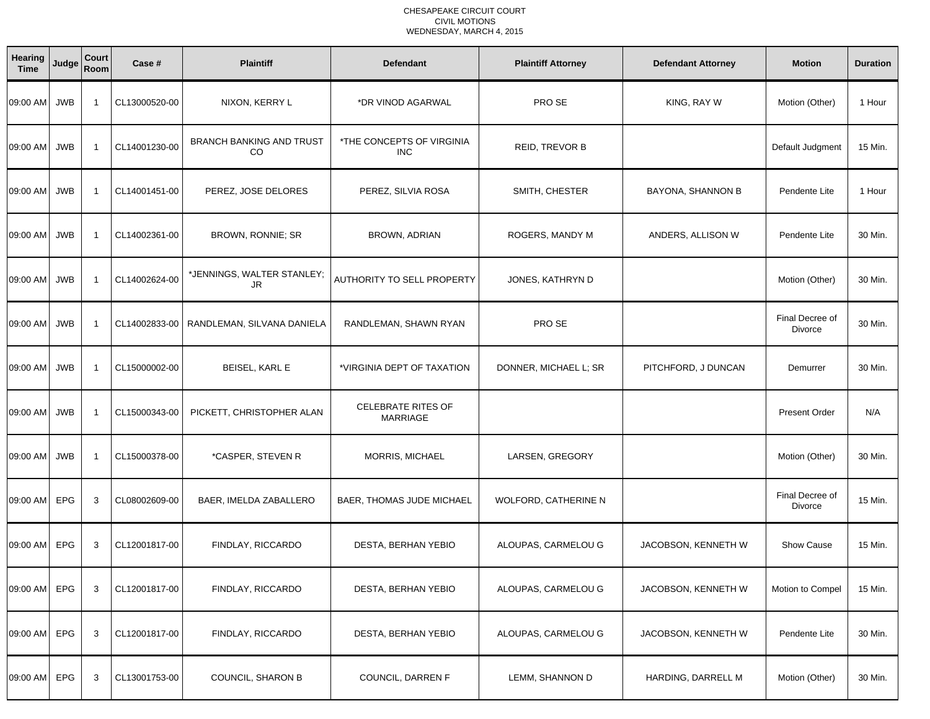| Hearing<br><b>Time</b> | Judge      | Court<br>Room | Case #        | <b>Plaintiff</b>                             | <b>Defendant</b>                             | <b>Plaintiff Attorney</b> | <b>Defendant Attorney</b> | <b>Motion</b>                     | <b>Duration</b> |
|------------------------|------------|---------------|---------------|----------------------------------------------|----------------------------------------------|---------------------------|---------------------------|-----------------------------------|-----------------|
| 09:00 AM JWB           |            | - 1           | CL13000520-00 | NIXON, KERRY L                               | *DR VINOD AGARWAL                            | PRO SE                    | KING, RAY W               | Motion (Other)                    | 1 Hour          |
| 09:00 AM               | <b>JWB</b> | -1            | CL14001230-00 | <b>BRANCH BANKING AND TRUST</b><br><b>CO</b> | *THE CONCEPTS OF VIRGINIA<br><b>INC</b>      | <b>REID, TREVOR B</b>     |                           | Default Judgment                  | 15 Min.         |
| 09:00 AM JWB           |            | -1            | CL14001451-00 | PEREZ, JOSE DELORES                          | PEREZ, SILVIA ROSA                           | SMITH, CHESTER            | BAYONA, SHANNON B         | Pendente Lite                     | 1 Hour          |
| 09:00 AM               | <b>JWB</b> | - 1           | CL14002361-00 | BROWN, RONNIE; SR                            | BROWN, ADRIAN                                | ROGERS, MANDY M           | ANDERS, ALLISON W         | Pendente Lite                     | 30 Min.         |
| 09:00 AM JWB           |            | - 1           | CL14002624-00 | *JENNINGS, WALTER STANLEY;<br><b>JR</b>      | AUTHORITY TO SELL PROPERTY                   | JONES, KATHRYN D          |                           | Motion (Other)                    | 30 Min.         |
| 09:00 AM               | <b>JWB</b> | - 1           | CL14002833-00 | RANDLEMAN, SILVANA DANIELA                   | RANDLEMAN, SHAWN RYAN                        | PRO SE                    |                           | Final Decree of<br>Divorce        | 30 Min.         |
| 09:00 AM JWB           |            | - 1           | CL15000002-00 | BEISEL, KARL E                               | *VIRGINIA DEPT OF TAXATION                   | DONNER, MICHAEL L; SR     | PITCHFORD, J DUNCAN       | Demurrer                          | 30 Min.         |
| 09:00 AM JWB           |            | -1            | CL15000343-00 | PICKETT, CHRISTOPHER ALAN                    | <b>CELEBRATE RITES OF</b><br><b>MARRIAGE</b> |                           |                           | <b>Present Order</b>              | N/A             |
| 09:00 AM               | <b>JWB</b> | - 1           | CL15000378-00 | *CASPER, STEVEN R                            | MORRIS, MICHAEL                              | LARSEN, GREGORY           |                           | Motion (Other)                    | 30 Min.         |
| 09:00 AM EPG           |            | 3             | CL08002609-00 | BAER, IMELDA ZABALLERO                       | BAER, THOMAS JUDE MICHAEL                    | WOLFORD, CATHERINE N      |                           | Final Decree of<br><b>Divorce</b> | 15 Min.         |
| 09:00 AM EPG           |            | 3             | CL12001817-00 | FINDLAY, RICCARDO                            | DESTA, BERHAN YEBIO                          | ALOUPAS, CARMELOU G       | JACOBSON, KENNETH W       | <b>Show Cause</b>                 | 15 Min.         |
| 09:00 AM EPG           |            | 3             | CL12001817-00 | FINDLAY, RICCARDO                            | DESTA, BERHAN YEBIO                          | ALOUPAS, CARMELOU G       | JACOBSON, KENNETH W       | Motion to Compel                  | 15 Min.         |
| 09:00 AM               | EPG        | 3             | CL12001817-00 | FINDLAY, RICCARDO                            | DESTA, BERHAN YEBIO                          | ALOUPAS, CARMELOU G       | JACOBSON, KENNETH W       | Pendente Lite                     | 30 Min.         |
| 09:00 AM EPG           |            | 3             | CL13001753-00 | COUNCIL, SHARON B                            | COUNCIL, DARREN F                            | LEMM, SHANNON D           | HARDING, DARRELL M        | Motion (Other)                    | 30 Min.         |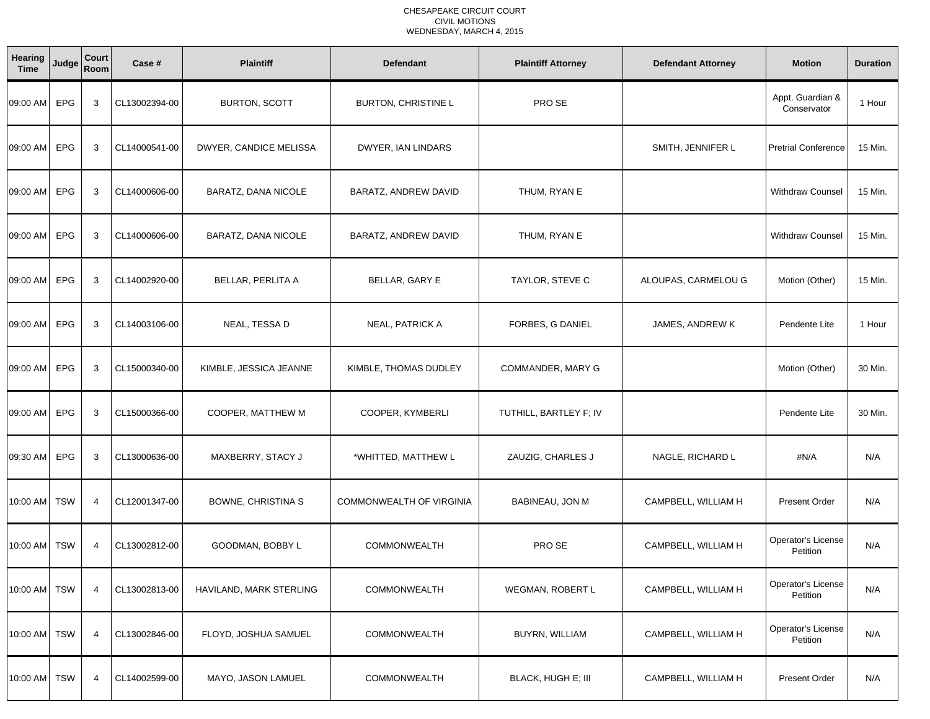| <b>Hearing</b><br><b>Time</b> | Judge      | <b>Court</b><br>Room | Case #        | <b>Plaintiff</b>          | <b>Defendant</b>           | <b>Plaintiff Attorney</b> | <b>Defendant Attorney</b> | <b>Motion</b>                   | <b>Duration</b> |
|-------------------------------|------------|----------------------|---------------|---------------------------|----------------------------|---------------------------|---------------------------|---------------------------------|-----------------|
| 09:00 AM EPG                  |            | 3                    | CL13002394-00 | <b>BURTON, SCOTT</b>      | <b>BURTON, CHRISTINE L</b> | PRO SE                    |                           | Appt. Guardian &<br>Conservator | 1 Hour          |
| 09:00 AM                      | <b>EPG</b> | 3                    | CL14000541-00 | DWYER, CANDICE MELISSA    | DWYER, IAN LINDARS         |                           | SMITH, JENNIFER L         | <b>Pretrial Conference</b>      | 15 Min.         |
| 09:00 AM                      | EPG        | 3                    | CL14000606-00 | BARATZ, DANA NICOLE       | BARATZ, ANDREW DAVID       | THUM, RYAN E              |                           | <b>Withdraw Counsel</b>         | 15 Min.         |
| 09:00 AM                      | <b>EPG</b> | 3                    | CL14000606-00 | BARATZ, DANA NICOLE       | BARATZ, ANDREW DAVID       | THUM, RYAN E              |                           | <b>Withdraw Counsel</b>         | 15 Min.         |
| 09:00 AM                      | <b>EPG</b> | 3                    | CL14002920-00 | <b>BELLAR, PERLITA A</b>  | BELLAR, GARY E             | TAYLOR, STEVE C           | ALOUPAS, CARMELOU G       | Motion (Other)                  | 15 Min.         |
| 09:00 AM                      | EPG        | 3                    | CL14003106-00 | NEAL, TESSA D             | <b>NEAL, PATRICK A</b>     | FORBES, G DANIEL          | JAMES, ANDREW K           | Pendente Lite                   | 1 Hour          |
| 09:00 AM                      | EPG        | 3                    | CL15000340-00 | KIMBLE, JESSICA JEANNE    | KIMBLE, THOMAS DUDLEY      | COMMANDER, MARY G         |                           | Motion (Other)                  | 30 Min.         |
| 09:00 AM EPG                  |            | 3                    | CL15000366-00 | COOPER, MATTHEW M         | COOPER, KYMBERLI           | TUTHILL, BARTLEY F; IV    |                           | Pendente Lite                   | 30 Min.         |
| 09:30 AM                      | <b>EPG</b> | 3                    | CL13000636-00 | MAXBERRY, STACY J         | *WHITTED, MATTHEW L        | ZAUZIG, CHARLES J         | NAGLE, RICHARD L          | #N/A                            | N/A             |
| 10:00 AM TSW                  |            | 4                    | CL12001347-00 | <b>BOWNE, CHRISTINA S</b> | COMMONWEALTH OF VIRGINIA   | BABINEAU, JON M           | CAMPBELL, WILLIAM H       | <b>Present Order</b>            | N/A             |
| 10:00 AM TSW                  |            | 4                    | CL13002812-00 | GOODMAN, BOBBY L          | <b>COMMONWEALTH</b>        | PRO SE                    | CAMPBELL, WILLIAM H       | Operator's License<br>Petition  | N/A             |
| 10:00 AM TSW                  |            | 4                    | CL13002813-00 | HAVILAND, MARK STERLING   | <b>COMMONWEALTH</b>        | <b>WEGMAN, ROBERT L</b>   | CAMPBELL, WILLIAM H       | Operator's License<br>Petition  | N/A             |
| 10:00 AM TSW                  |            | 4                    | CL13002846-00 | FLOYD, JOSHUA SAMUEL      | <b>COMMONWEALTH</b>        | BUYRN, WILLIAM            | CAMPBELL, WILLIAM H       | Operator's License<br>Petition  | N/A             |
| 10:00 AM TSW                  |            | 4                    | CL14002599-00 | MAYO, JASON LAMUEL        | COMMONWEALTH               | BLACK, HUGH E; III        | CAMPBELL, WILLIAM H       | <b>Present Order</b>            | N/A             |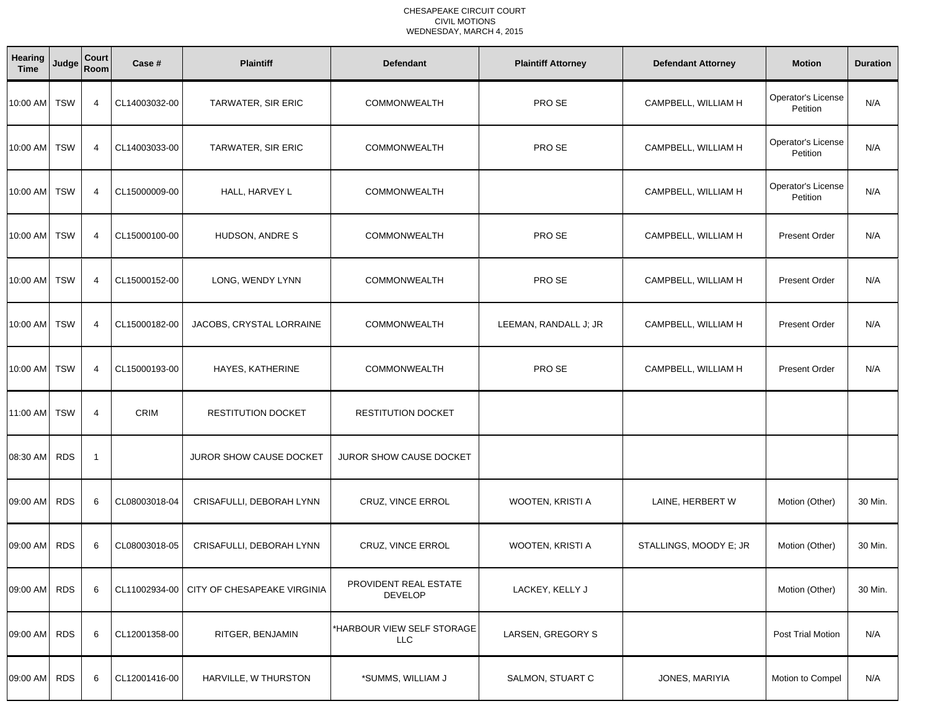| Hearing<br><b>Time</b> | Judge      | Court<br>Room  | Case #        | <b>Plaintiff</b>                            | <b>Defendant</b>                         | <b>Plaintiff Attorney</b> | <b>Defendant Attorney</b> | <b>Motion</b>                  | <b>Duration</b> |
|------------------------|------------|----------------|---------------|---------------------------------------------|------------------------------------------|---------------------------|---------------------------|--------------------------------|-----------------|
| 10:00 AM               | TSW        | $\overline{4}$ | CL14003032-00 | TARWATER, SIR ERIC                          | <b>COMMONWEALTH</b>                      | PRO SE                    | CAMPBELL, WILLIAM H       | Operator's License<br>Petition | N/A             |
| 10:00 AM               | <b>TSW</b> | $\overline{4}$ | CL14003033-00 | TARWATER, SIR ERIC                          | <b>COMMONWEALTH</b>                      | PRO SE                    | CAMPBELL, WILLIAM H       | Operator's License<br>Petition | N/A             |
| 10:00 AM               | <b>TSW</b> | $\overline{4}$ | CL15000009-00 | HALL, HARVEY L                              | <b>COMMONWEALTH</b>                      |                           | CAMPBELL, WILLIAM H       | Operator's License<br>Petition | N/A             |
| 10:00 AM               | <b>TSW</b> | $\overline{4}$ | CL15000100-00 | HUDSON, ANDRE S                             | <b>COMMONWEALTH</b>                      | PRO SE                    | CAMPBELL, WILLIAM H       | <b>Present Order</b>           | N/A             |
| 10:00 AM               | <b>TSW</b> | 4              | CL15000152-00 | LONG, WENDY LYNN                            | <b>COMMONWEALTH</b>                      | PRO SE                    | CAMPBELL, WILLIAM H       | <b>Present Order</b>           | N/A             |
| 10:00 AM               | <b>TSW</b> | 4              | CL15000182-00 | JACOBS, CRYSTAL LORRAINE                    | <b>COMMONWEALTH</b>                      | LEEMAN, RANDALL J; JR     | CAMPBELL, WILLIAM H       | <b>Present Order</b>           | N/A             |
| 10:00 AM               | <b>TSW</b> | $\overline{4}$ | CL15000193-00 | HAYES, KATHERINE                            | <b>COMMONWEALTH</b>                      | PRO SE                    | CAMPBELL, WILLIAM H       | <b>Present Order</b>           | N/A             |
| 11:00 AM TSW           |            | $\overline{4}$ | <b>CRIM</b>   | <b>RESTITUTION DOCKET</b>                   | <b>RESTITUTION DOCKET</b>                |                           |                           |                                |                 |
| 08:30 AM               | <b>RDS</b> | -1             |               | <b>JUROR SHOW CAUSE DOCKET</b>              | JUROR SHOW CAUSE DOCKET                  |                           |                           |                                |                 |
| 09:00 AM               | <b>RDS</b> | 6              | CL08003018-04 | CRISAFULLI, DEBORAH LYNN                    | CRUZ, VINCE ERROL                        | WOOTEN, KRISTI A          | LAINE, HERBERT W          | Motion (Other)                 | 30 Min.         |
| 09:00 AM               | <b>RDS</b> | 6              | CL08003018-05 | CRISAFULLI, DEBORAH LYNN                    | CRUZ, VINCE ERROL                        | WOOTEN, KRISTI A          | STALLINGS, MOODY E; JR    | Motion (Other)                 | 30 Min.         |
| 09:00 AM               | <b>RDS</b> | 6              |               | CL11002934-00   CITY OF CHESAPEAKE VIRGINIA | PROVIDENT REAL ESTATE<br><b>DEVELOP</b>  | LACKEY, KELLY J           |                           | Motion (Other)                 | 30 Min.         |
| 09:00 AM               | <b>RDS</b> | 6              | CL12001358-00 | RITGER, BENJAMIN                            | *HARBOUR VIEW SELF STORAGE<br><b>LLC</b> | LARSEN, GREGORY S         |                           | <b>Post Trial Motion</b>       | N/A             |
| 09:00 AM               | <b>RDS</b> | 6              | CL12001416-00 | HARVILLE, W THURSTON                        | *SUMMS, WILLIAM J                        | SALMON, STUART C          | JONES, MARIYIA            | Motion to Compel               | N/A             |